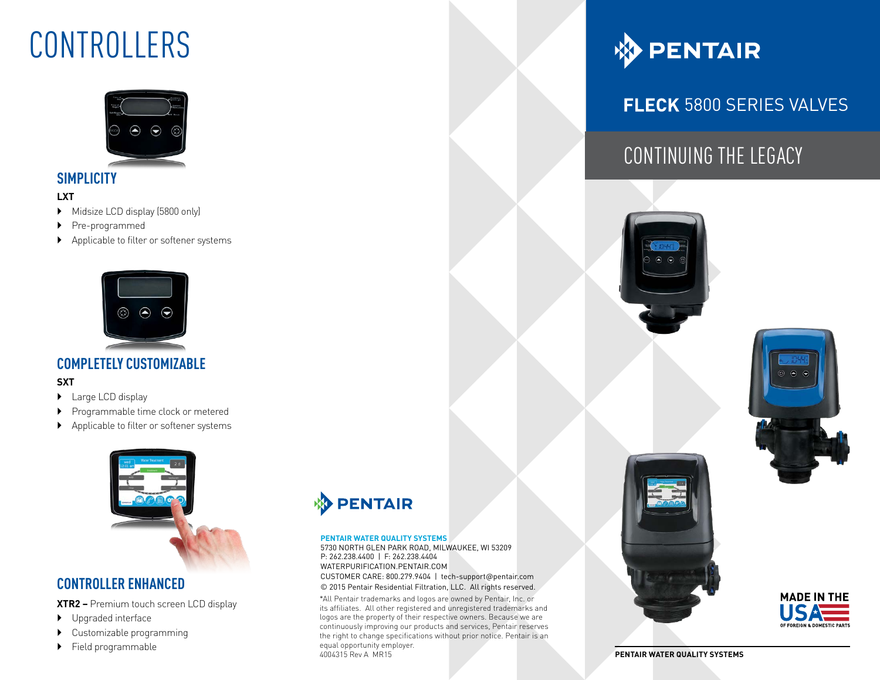## CONTROLLERS



### **SIMPLICITY**

#### **LXT**

- Midsize LCD display (5800 only)
- Pre-programmed
- Applicable to filter or softener systems



### **COMPLETELY CUSTOMIZABLE**

#### **SXT**

- ▶ Large LCD display
- Programmable time clock or metered
- Applicable to filter or softener systems



### **CONTROLLER ENHANCED**

**XTR2 –** Premium touch screen LCD display

- Upgraded interface
- Customizable programming
- 



#### **PENTAIR WATER QUALITY SYSTEMS**

5730 NORTH GLEN PARK ROAD, MILWAUKEE, WI 53209 P: 262.238.4400 | F: 262.238.4404 WATERPURIFICATION.PENTAIR.COM CUSTOMER CARE: 800.279.9404 | tech-support@pentair.com © 2015 Pentair Residential Filtration, LLC. All rights reserved.

5730 NORTH GLEN PARK ROAD, MILWAUKEE, WI 53209

\*All Pentair trademarks and logos are owned by Pentair, Inc. or its affiliates. All other registered and unregistered trademarks and logos are the property of their respective owners. Because we are continuously improving our products and services, Pentair reserves the right to change specifications without prior notice. Pentair is an equal opportunity employer. 4004315 Rev A MR15 Field programmable equal opportunity employer.



## **FLECK 5800 SERIES VALVES**

## CONTINUING THE LEGACY







**PENTAIR WATER QUALITY SYSTEMS**